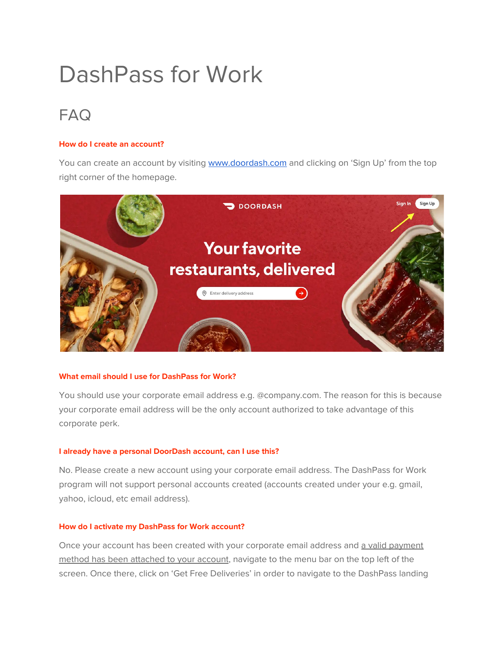# DashPass for Work

# FAQ

# **How do I create an account?**

You can create an account by visiting [www.doordash.com](http://www.doordash.com/) and clicking on 'Sign Up' from the top right corner of the homepage.



#### **What email should I use for DashPass for Work?**

You should use your corporate email address e.g. @company.com. The reason for this is because your corporate email address will be the only account authorized to take advantage of this corporate perk.

#### **I already have a personal DoorDash account, can I use this?**

No. Please create a new account using your corporate email address. The DashPass for Work program will not support personal accounts created (accounts created under your e.g. gmail, yahoo, icloud, etc email address).

#### **How do I activate my DashPass for Work account?**

Once your account has been created with your corporate email address and a valid payment method has been attached to your account, navigate to the menu bar on the top left of the screen. Once there, click on 'Get Free Deliveries' in order to navigate to the DashPass landing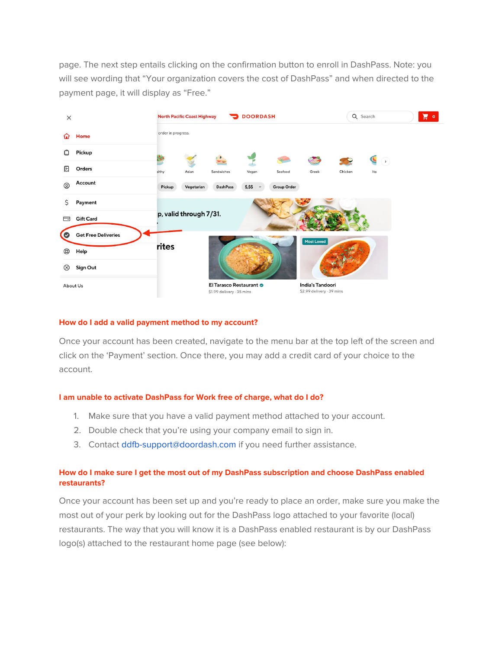page. The next step entails clicking on the confirmation button to enroll in DashPass. Note: you will see wording that "Your organization covers the cost of DashPass" and when directed to the payment page, it will display as "Free."



#### **How do I add a valid payment method to my account?**

Once your account has been created, navigate to the menu bar at the top left of the screen and click on the 'Payment' section. Once there, you may add a credit card of your choice to the account.

#### **I am unable to activate DashPass for Work free of charge, what do I do?**

- 1. Make sure that you have a valid payment method attached to your account.
- 2. Double check that you're using your company email to sign in.
- 3. Contact ddfb-support@doordash.com if you need further assistance.

## **How do I make sure I get the most out of my DashPass subscription and choose DashPass enabled restaurants?**

Once your account has been set up and you're ready to place an order, make sure you make the most out of your perk by looking out for the DashPass logo attached to your favorite (local) restaurants. The way that you will know it is a DashPass enabled restaurant is by our DashPass logo(s) attached to the restaurant home page (see below):